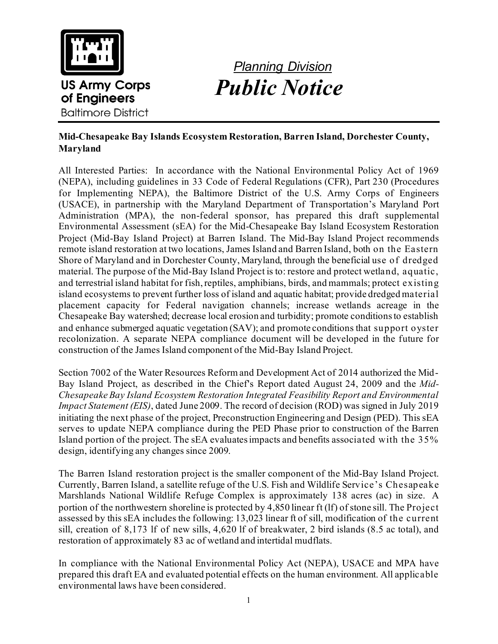

## *Planning Division Public Notice*

## **Mid-Chesapeake Bay Islands Ecosystem Restoration, Barren Island, Dorchester County, Maryland**

All Interested Parties: In accordance with the National Environmental Policy Act of 1969 (NEPA), including guidelines in 33 Code of Federal Regulations (CFR), Part 230 (Procedures for Implementing NEPA), the Baltimore District of the U.S. Army Corps of Engineers (USACE), in partnership with the Maryland Department of Transportation's Maryland Port Administration (MPA), the non-federal sponsor, has prepared this draft supplemental Environmental Assessment (sEA) for the Mid-Chesapeake Bay Island Ecosystem Restoration Project (Mid-Bay Island Project) at Barren Island. The Mid-Bay Island Project recommends remote island restoration at two locations, James Island and Barren Island, both on the Eastern Shore of Maryland and in Dorchester County, Maryland, through the beneficial use of dredged material. The purpose of the Mid-Bay Island Project is to: restore and protect wetland, aquatic, and terrestrial island habitat for fish, reptiles, amphibians, birds, and mammals; protect existing island ecosystems to prevent further loss of island and aquatic habitat; provide dredged material placement capacity for Federal navigation channels; increase wetlands acreage in the Chesapeake Bay watershed; decrease local erosion and turbidity; promote conditions to establish and enhance submerged aquatic vegetation (SAV); and promote conditions that support oyster recolonization. A separate NEPA compliance document will be developed in the future for construction of the James Island component of the Mid-Bay Island Project.

Section 7002 of the Water Resources Reform and Development Act of 2014 authorized the Mid-Bay Island Project, as described in the Chief's Report dated August 24, 2009 and the *Mid-Chesapeake Bay Island Ecosystem Restoration Integrated Feasibility Report and Environmental Impact Statement (EIS)*, dated June 2009. The record of decision (ROD) was signed in July 2019 initiating the next phase of the project, Preconstruction Engineering and Design (PED). This sEA serves to update NEPA compliance during the PED Phase prior to construction of the Barren Island portion of the project. The sEA evaluates impacts and benefits associated with the 35% design, identifying any changes since 2009.

The Barren Island restoration project is the smaller component of the Mid-Bay Island Project. Currently, Barren Island, a satellite refuge of the U.S. Fish and Wildlife Service's Chesapeake Marshlands National Wildlife Refuge Complex is approximately 138 acres (ac) in size. A portion of the northwestern shoreline is protected by 4,850 linear ft (lf) of stone sill. The Project assessed by this sEA includes the following: 13,023 linear ft of sill, modification of the current sill, creation of 8,173 lf of new sills, 4,620 lf of breakwater, 2 bird islands (8.5 ac total), and restoration of approximately 83 ac of wetland and intertidal mudflats.

In compliance with the National Environmental Policy Act (NEPA), USACE and MPA have prepared this draft EA and evaluated potential effects on the human environment. All applicable environmental laws have been considered.